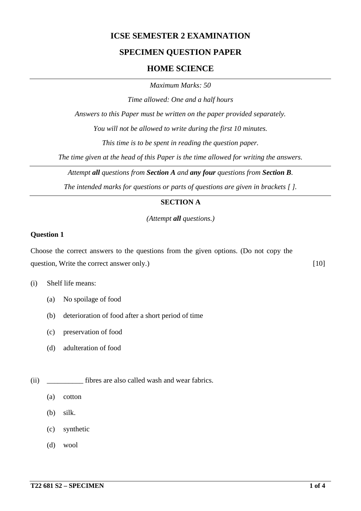## **ICSE SEMESTER 2 EXAMINATION**

## **SPECIMEN QUESTION PAPER**

### **HOME SCIENCE**

*Maximum Marks: 50*

*Time allowed: One and a half hours*

*Answers to this Paper must be written on the paper provided separately.*

*You will not be allowed to write during the first 10 minutes.*

*This time is to be spent in reading the question paper.*

*The time given at the head of this Paper is the time allowed for writing the answers.*

*Attempt all questions from Section A and any four questions from Section B.*

*The intended marks for questions or parts of questions are given in brackets [ ].*

#### **SECTION A**

*(Attempt all questions.)*

#### **Question 1**

Choose the correct answers to the questions from the given options. (Do not copy the question, Write the correct answer only.) [10]

- (i) Shelf life means:
	- (a) No spoilage of food
	- (b) deterioration of food after a short period of time
	- (c) preservation of food
	- (d) adulteration of food
- (ii) fibres are also called wash and wear fabrics.
	- (a) cotton
	- (b) silk.
	- (c) synthetic
	- (d) wool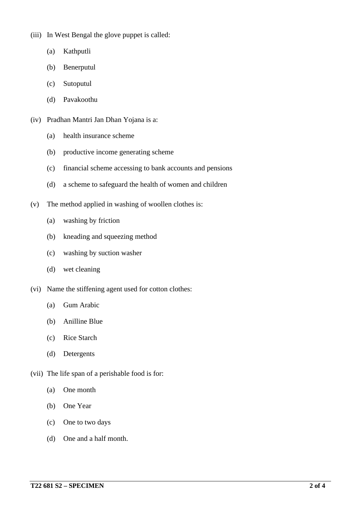- (iii) In West Bengal the glove puppet is called:
	- (a) Kathputli
	- (b) Benerputul
	- (c) Sutoputul
	- (d) Pavakoothu
- (iv) Pradhan Mantri Jan Dhan Yojana is a:
	- (a) health insurance scheme
	- (b) productive income generating scheme
	- (c) financial scheme accessing to bank accounts and pensions
	- (d) a scheme to safeguard the health of women and children
- (v) The method applied in washing of woollen clothes is:
	- (a) washing by friction
	- (b) kneading and squeezing method
	- (c) washing by suction washer
	- (d) wet cleaning
- (vi) Name the stiffening agent used for cotton clothes:
	- (a) Gum Arabic
	- (b) Anilline Blue
	- (c) Rice Starch
	- (d) Detergents
- (vii) The life span of a perishable food is for:
	- (a) One month
	- (b) One Year
	- (c) One to two days
	- (d) One and a half month.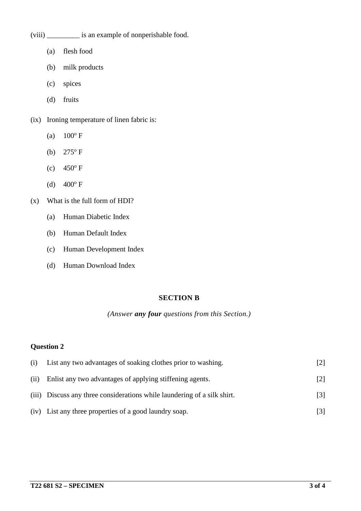- (viii) \_\_\_\_\_\_\_\_\_ is an example of nonperishable food.
	- (a) flesh food
	- (b) milk products
	- (c) spices
	- (d) fruits
- (ix) Ironing temperature of linen fabric is:
	- (a)  $100^{\circ}$  F
	- (b)  $275^{\circ}$  F
	- (c)  $450^{\circ}$  F
	- (d)  $400^{\circ}$  F
- (x) What is the full form of HDI?
	- (a) Human Diabetic Index
	- (b) Human Default Index
	- (c) Human Development Index
	- (d) Human Download Index

#### **SECTION B**

#### *(Answer any four questions from this Section.)*

### **Question 2**

| (i)  | List any two advantages of soaking clothes prior to washing.             | $\left\lceil 2 \right\rceil$ |
|------|--------------------------------------------------------------------------|------------------------------|
| (ii) | Enlist any two advantages of applying stiffening agents.                 | $\lceil 2 \rceil$            |
|      | (iii) Discuss any three considerations while laundering of a silk shirt. | [3]                          |
|      | (iv) List any three properties of a good laundry soap.                   | [3]                          |